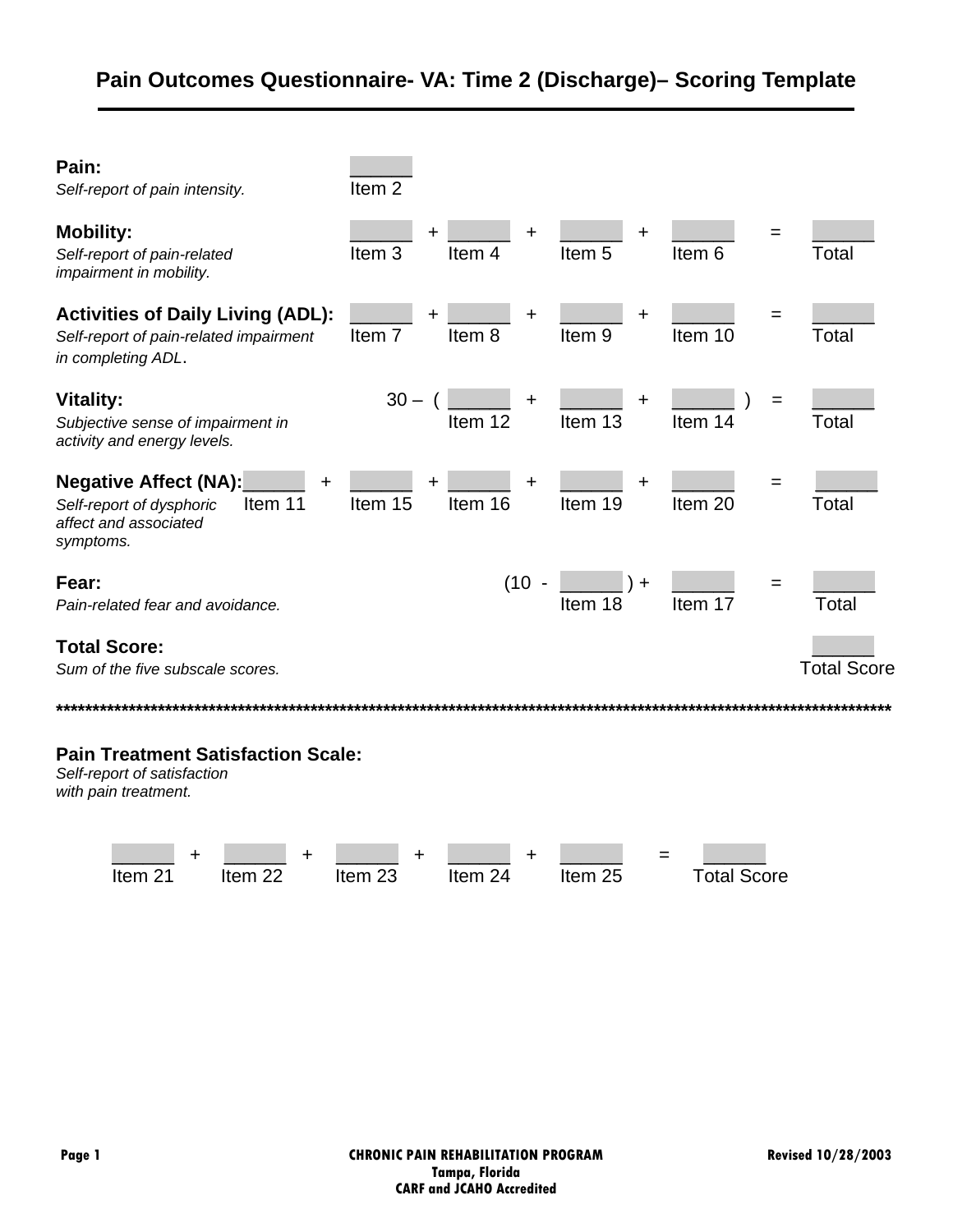| Pain:<br>Self-report of pain intensity.                                                                        | Item <sub>2</sub>       |                     |                        |                         |                    |  |  |
|----------------------------------------------------------------------------------------------------------------|-------------------------|---------------------|------------------------|-------------------------|--------------------|--|--|
| <b>Mobility:</b><br>Self-report of pain-related<br>impairment in mobility.                                     | Item <sub>3</sub>       | +<br>Item 4         | ┿<br>Item <sub>5</sub> | =<br>Item <sub>6</sub>  | Total              |  |  |
| <b>Activities of Daily Living (ADL):</b><br>Self-report of pain-related impairment<br>in completing ADL.       | Item <sub>7</sub>       | $\ddot{}$<br>Item 8 | +<br>Item <sub>9</sub> | $=$<br>Item 10          | Total              |  |  |
| <b>Vitality:</b><br>Subjective sense of impairment in<br>activity and energy levels.                           | $30 - ($                | +<br>Item 12        | +<br>Item 13           | $=$<br>Item 14          | Total              |  |  |
| <b>Negative Affect (NA):</b><br>+<br>Item 11<br>Self-report of dysphoric<br>affect and associated<br>symptoms. | Item 15                 | +<br>Item 16        | +<br>Item 19           | =<br>Item <sub>20</sub> | Total              |  |  |
| Fear:<br>Pain-related fear and avoidance.                                                                      |                         | $(10 -$             | $+$<br>Item 18         | =<br>Item 17            | Total              |  |  |
| <b>Total Score:</b><br>Sum of the five subscale scores.                                                        |                         |                     |                        |                         | <b>Total Score</b> |  |  |
| <b>Pain Treatment Satisfaction Scale:</b><br>Self-report of satisfaction<br>with pain treatment.               |                         |                     |                        |                         |                    |  |  |
| +<br>٠<br>Item <sub>21</sub><br>Item <sub>22</sub>                                                             | +<br>Item <sub>23</sub> | Item 24             | Item 25                | <b>Total Score</b>      |                    |  |  |